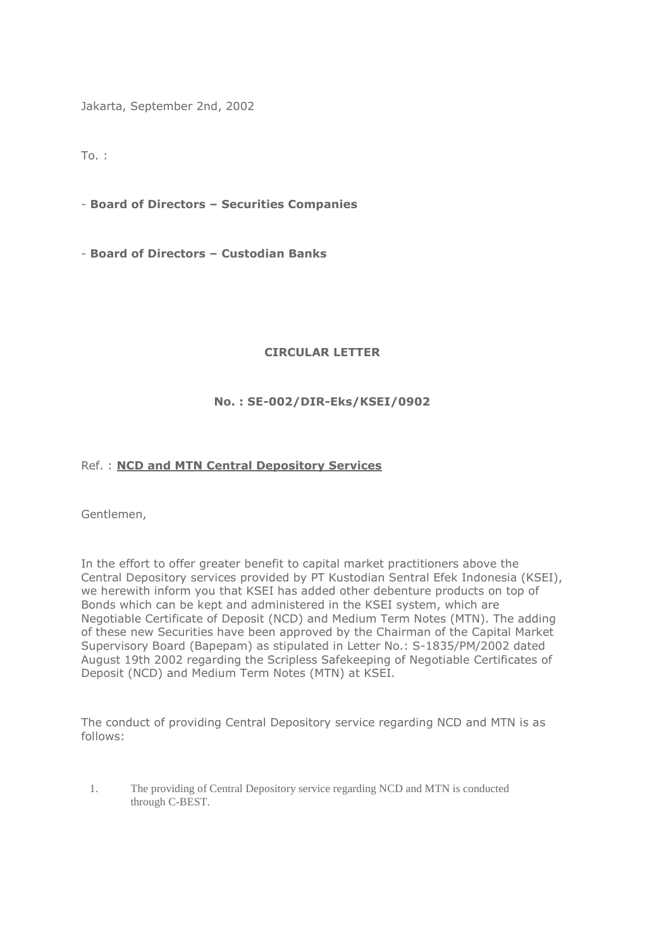Jakarta, September 2nd, 2002

To. :

- **Board of Directors – Securities Companies**

- **Board of Directors – Custodian Banks**

## **CIRCULAR LETTER**

## **No. : SE-002/DIR-Eks/KSEI/0902**

## Ref. : **NCD and MTN Central Depository Services**

Gentlemen,

In the effort to offer greater benefit to capital market practitioners above the Central Depository services provided by PT Kustodian Sentral Efek Indonesia (KSEI), we herewith inform you that KSEI has added other debenture products on top of Bonds which can be kept and administered in the KSEI system, which are Negotiable Certificate of Deposit (NCD) and Medium Term Notes (MTN). The adding of these new Securities have been approved by the Chairman of the Capital Market Supervisory Board (Bapepam) as stipulated in Letter No.: S-1835/PM/2002 dated August 19th 2002 regarding the Scripless Safekeeping of Negotiable Certificates of Deposit (NCD) and Medium Term Notes (MTN) at KSEI.

The conduct of providing Central Depository service regarding NCD and MTN is as follows:

1. The providing of Central Depository service regarding NCD and MTN is conducted through C-BEST.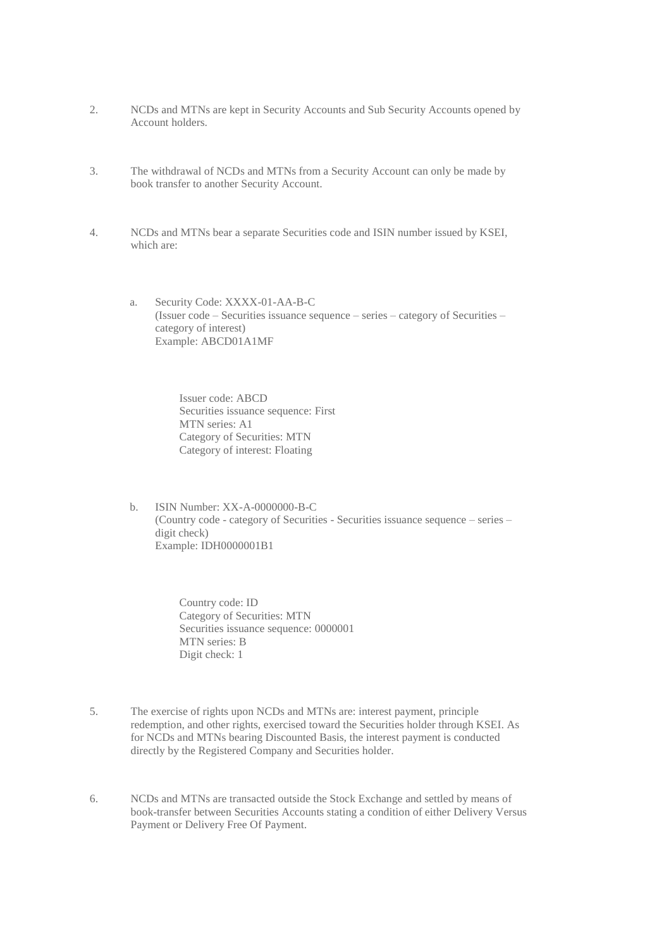- 2. NCDs and MTNs are kept in Security Accounts and Sub Security Accounts opened by Account holders.
- 3. The withdrawal of NCDs and MTNs from a Security Account can only be made by book transfer to another Security Account.
- 4. NCDs and MTNs bear a separate Securities code and ISIN number issued by KSEI, which are:
	- a. Security Code: XXXX-01-AA-B-C (Issuer code – Securities issuance sequence – series – category of Securities – category of interest) Example: ABCD01A1MF

Issuer code: ABCD Securities issuance sequence: First MTN series: A1 Category of Securities: MTN Category of interest: Floating

b. ISIN Number: XX-A-0000000-B-C (Country code - category of Securities - Securities issuance sequence – series – digit check) Example: IDH0000001B1

> Country code: ID Category of Securities: MTN Securities issuance sequence: 0000001 MTN series: B Digit check: 1

- 5. The exercise of rights upon NCDs and MTNs are: interest payment, principle redemption, and other rights, exercised toward the Securities holder through KSEI. As for NCDs and MTNs bearing Discounted Basis, the interest payment is conducted directly by the Registered Company and Securities holder.
- 6. NCDs and MTNs are transacted outside the Stock Exchange and settled by means of book-transfer between Securities Accounts stating a condition of either Delivery Versus Payment or Delivery Free Of Payment.